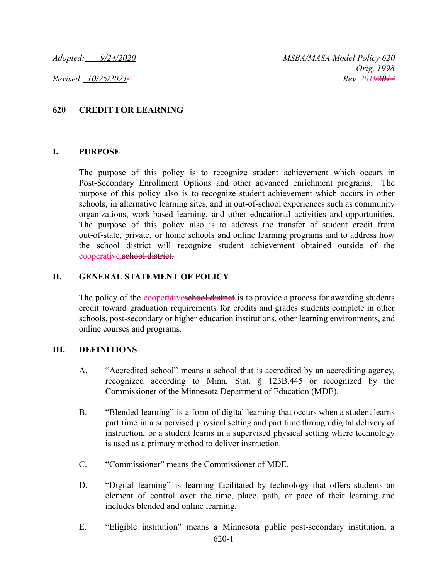## **620 CREDIT FOR LEARNING**

## **I. PURPOSE**

The purpose of this policy is to recognize student achievement which occurs in Post-Secondary Enrollment Options and other advanced enrichment programs. The purpose of this policy also is to recognize student achievement which occurs in other schools, in alternative learning sites, and in out-of-school experiences such as community organizations, work-based learning, and other educational activities and opportunities. The purpose of this policy also is to address the transfer of student credit from out-of-state, private, or home schools and online learning programs and to address how the school district will recognize student achievement obtained outside of the cooperative.school district.

## **II. GENERAL STATEMENT OF POLICY**

The policy of the cooperatives chool district is to provide a process for awarding students credit toward graduation requirements for credits and grades students complete in other schools, post-secondary or higher education institutions, other learning environments, and online courses and programs.

## **III. DEFINITIONS**

- A. "Accredited school" means a school that is accredited by an accrediting agency, recognized according to Minn. Stat. § 123B.445 or recognized by the Commissioner of the Minnesota Department of Education (MDE).
- B. "Blended learning" is a form of digital learning that occurs when a student learns part time in a supervised physical setting and part time through digital delivery of instruction, or a student learns in a supervised physical setting where technology is used as a primary method to deliver instruction.
- C. "Commissioner" means the Commissioner of MDE.
- D. "Digital learning" is learning facilitated by technology that offers students an element of control over the time, place, path, or pace of their learning and includes blended and online learning.
- E. "Eligible institution" means a Minnesota public post-secondary institution, a 620-1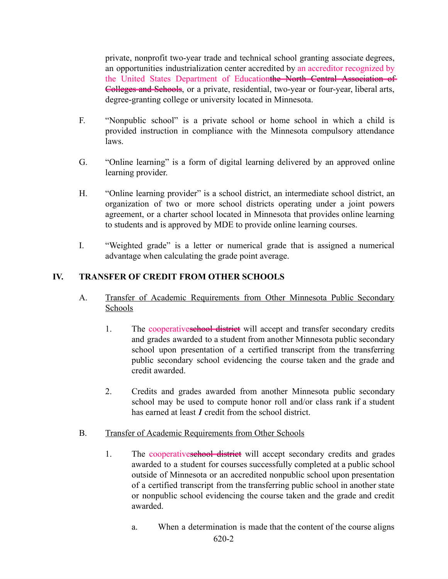private, nonprofit two-year trade and technical school granting associate degrees, an opportunities industrialization center accredited by an accreditor recognized by the United States Department of Educationthe North Central Association of Colleges and Schools, or a private, residential, two-year or four-year, liberal arts, degree-granting college or university located in Minnesota.

- F. "Nonpublic school" is a private school or home school in which a child is provided instruction in compliance with the Minnesota compulsory attendance laws.
- G. "Online learning" is a form of digital learning delivered by an approved online learning provider.
- H. "Online learning provider" is a school district, an intermediate school district, an organization of two or more school districts operating under a joint powers agreement, or a charter school located in Minnesota that provides online learning to students and is approved by MDE to provide online learning courses.
- I. "Weighted grade" is a letter or numerical grade that is assigned a numerical advantage when calculating the grade point average.

# **IV. TRANSFER OF CREDIT FROM OTHER SCHOOLS**

- A. Transfer of Academic Requirements from Other Minnesota Public Secondary Schools
	- 1. The cooperatives chool district will accept and transfer secondary credits and grades awarded to a student from another Minnesota public secondary school upon presentation of a certified transcript from the transferring public secondary school evidencing the course taken and the grade and credit awarded.
	- 2. Credits and grades awarded from another Minnesota public secondary school may be used to compute honor roll and/or class rank if a student has earned at least *I* credit from the school district.
- B. Transfer of Academic Requirements from Other Schools
	- 1. The cooperatives chool district will accept secondary credits and grades awarded to a student for courses successfully completed at a public school outside of Minnesota or an accredited nonpublic school upon presentation of a certified transcript from the transferring public school in another state or nonpublic school evidencing the course taken and the grade and credit awarded.
		- a. When a determination is made that the content of the course aligns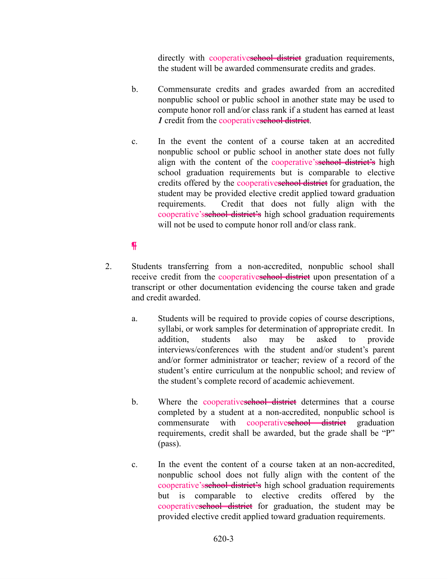directly with cooperatives chool district graduation requirements, the student will be awarded commensurate credits and grades.

- b. Commensurate credits and grades awarded from an accredited nonpublic school or public school in another state may be used to compute honor roll and/or class rank if a student has earned at least *1* credit from the cooperativeschool district.
- c. In the event the content of a course taken at an accredited nonpublic school or public school in another state does not fully align with the content of the cooperative'ssehool district's high school graduation requirements but is comparable to elective credits offered by the cooperatives the district for graduation, the student may be provided elective credit applied toward graduation requirements. Credit that does not fully align with the cooperative's sehool district's high school graduation requirements will not be used to compute honor roll and/or class rank.

# ¶

- 2. Students transferring from a non-accredited, nonpublic school shall receive credit from the cooperativeschool district upon presentation of a transcript or other documentation evidencing the course taken and grade and credit awarded.
	- a. Students will be required to provide copies of course descriptions, syllabi, or work samples for determination of appropriate credit. In addition, students also may be asked to provide interviews/conferences with the student and/or student's parent and/or former administrator or teacher; review of a record of the student's entire curriculum at the nonpublic school; and review of the student's complete record of academic achievement.
	- b. Where the cooperatives chool district determines that a course completed by a student at a non-accredited, nonpublic school is commensurate with cooperatives book district graduation requirements, credit shall be awarded, but the grade shall be "P" (pass).
	- c. In the event the content of a course taken at an non-accredited, nonpublic school does not fully align with the content of the cooperative'sschool district's high school graduation requirements but is comparable to elective credits offered by the cooperatives chool district for graduation, the student may be provided elective credit applied toward graduation requirements.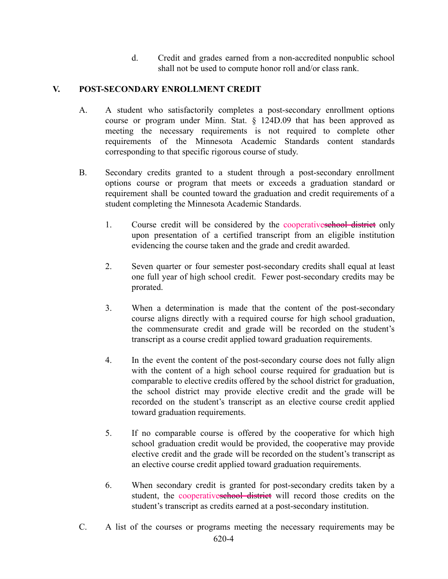d. Credit and grades earned from a non-accredited nonpublic school shall not be used to compute honor roll and/or class rank.

# **V. POST-SECONDARY ENROLLMENT CREDIT**

- A. A student who satisfactorily completes a post-secondary enrollment options course or program under Minn. Stat. § 124D.09 that has been approved as meeting the necessary requirements is not required to complete other requirements of the Minnesota Academic Standards content standards corresponding to that specific rigorous course of study.
- B. Secondary credits granted to a student through a post-secondary enrollment options course or program that meets or exceeds a graduation standard or requirement shall be counted toward the graduation and credit requirements of a student completing the Minnesota Academic Standards.
	- 1. Course credit will be considered by the cooperatives chool district only upon presentation of a certified transcript from an eligible institution evidencing the course taken and the grade and credit awarded.
	- 2. Seven quarter or four semester post-secondary credits shall equal at least one full year of high school credit. Fewer post-secondary credits may be prorated.
	- 3. When a determination is made that the content of the post-secondary course aligns directly with a required course for high school graduation, the commensurate credit and grade will be recorded on the student's transcript as a course credit applied toward graduation requirements.
	- 4. In the event the content of the post-secondary course does not fully align with the content of a high school course required for graduation but is comparable to elective credits offered by the school district for graduation, the school district may provide elective credit and the grade will be recorded on the student's transcript as an elective course credit applied toward graduation requirements.
	- 5. If no comparable course is offered by the cooperative for which high school graduation credit would be provided, the cooperative may provide elective credit and the grade will be recorded on the student's transcript as an elective course credit applied toward graduation requirements.
	- 6. When secondary credit is granted for post-secondary credits taken by a student, the cooperatives the district will record those credits on the student's transcript as credits earned at a post-secondary institution.
- C. A list of the courses or programs meeting the necessary requirements may be 620-4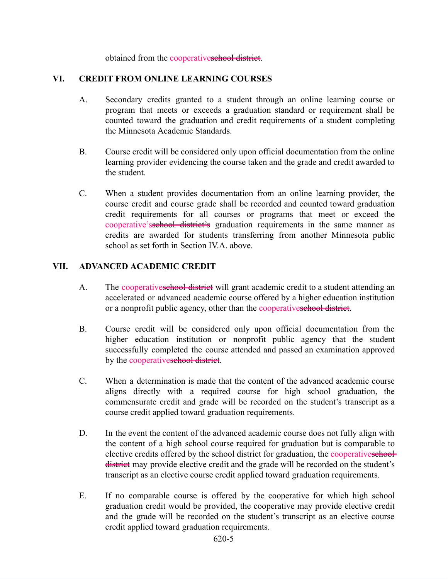obtained from the cooperativeschool district.

# **VI. CREDIT FROM ONLINE LEARNING COURSES**

- A. Secondary credits granted to a student through an online learning course or program that meets or exceeds a graduation standard or requirement shall be counted toward the graduation and credit requirements of a student completing the Minnesota Academic Standards.
- B. Course credit will be considered only upon official documentation from the online learning provider evidencing the course taken and the grade and credit awarded to the student.
- C. When a student provides documentation from an online learning provider, the course credit and course grade shall be recorded and counted toward graduation credit requirements for all courses or programs that meet or exceed the cooperative'ssehool district's graduation requirements in the same manner as credits are awarded for students transferring from another Minnesota public school as set forth in Section IV.A. above.

## **VII. ADVANCED ACADEMIC CREDIT**

- A. The cooperatives chool district will grant academic credit to a student attending an accelerated or advanced academic course offered by a higher education institution or a nonprofit public agency, other than the cooperativeschool district.
- B. Course credit will be considered only upon official documentation from the higher education institution or nonprofit public agency that the student successfully completed the course attended and passed an examination approved by the cooperatives chool district.
- C. When a determination is made that the content of the advanced academic course aligns directly with a required course for high school graduation, the commensurate credit and grade will be recorded on the student's transcript as a course credit applied toward graduation requirements.
- D. In the event the content of the advanced academic course does not fully align with the content of a high school course required for graduation but is comparable to elective credits offered by the school district for graduation, the cooperatives chooldistrict may provide elective credit and the grade will be recorded on the student's transcript as an elective course credit applied toward graduation requirements.
- E. If no comparable course is offered by the cooperative for which high school graduation credit would be provided, the cooperative may provide elective credit and the grade will be recorded on the student's transcript as an elective course credit applied toward graduation requirements.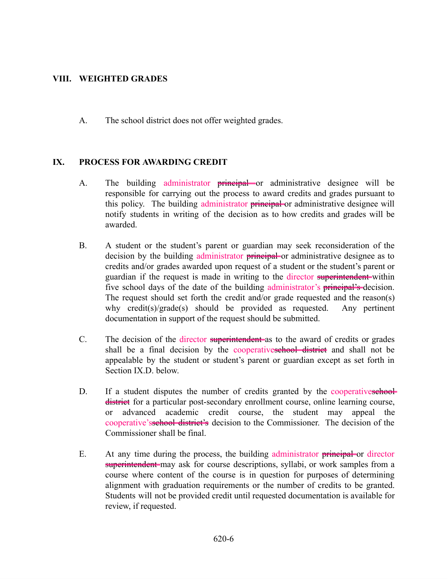## **VIII. WEIGHTED GRADES**

A. The school district does not offer weighted grades.

## **IX. PROCESS FOR AWARDING CREDIT**

- A. The building administrator **principal** or administrative designee will be responsible for carrying out the process to award credits and grades pursuant to this policy. The building administrator **principal** or administrative designee will notify students in writing of the decision as to how credits and grades will be awarded.
- B. A student or the student's parent or guardian may seek reconsideration of the decision by the building administrator principal or administrative designee as to credits and/or grades awarded upon request of a student or the student's parent or guardian if the request is made in writing to the director superintendent-within five school days of the date of the building administrator's principal's decision. The request should set forth the credit and/or grade requested and the reason(s) why credit(s)/grade(s) should be provided as requested. Any pertinent documentation in support of the request should be submitted.
- C. The decision of the director superintendent as to the award of credits or grades shall be a final decision by the cooperatives the district and shall not be appealable by the student or student's parent or guardian except as set forth in Section IX.D. below.
- D. If a student disputes the number of credits granted by the cooperatives sehechdistrict for a particular post-secondary enrollment course, online learning course, or advanced academic credit course, the student may appeal the cooperative's sehool district's decision to the Commissioner. The decision of the Commissioner shall be final.
- E. At any time during the process, the building administrator **principal** or director superintendent may ask for course descriptions, syllabi, or work samples from a course where content of the course is in question for purposes of determining alignment with graduation requirements or the number of credits to be granted. Students will not be provided credit until requested documentation is available for review, if requested.